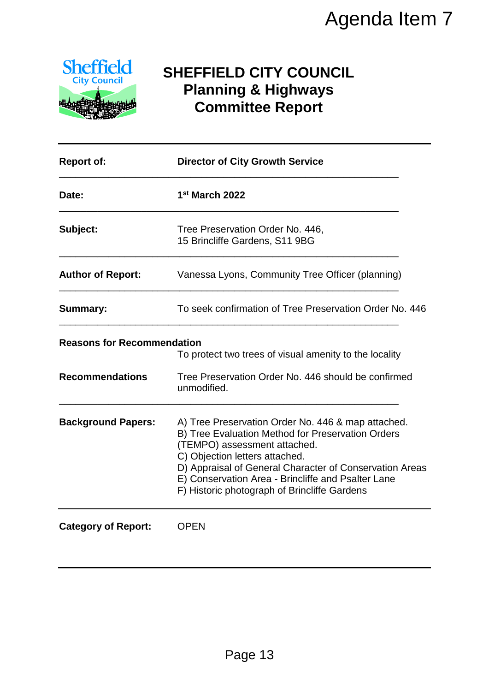

## **SHEFFIELD CITY COUNCIL Planning & Highways Committee Report**

|                                         | Agenda Item 7                                                                                                                                                                                                                                                                                                                              |
|-----------------------------------------|--------------------------------------------------------------------------------------------------------------------------------------------------------------------------------------------------------------------------------------------------------------------------------------------------------------------------------------------|
| <b>Sheffield</b><br><b>City Council</b> | <b>SHEFFIELD CITY COUNCIL</b><br><b>Planning &amp; Highways</b><br><b>Committee Report</b>                                                                                                                                                                                                                                                 |
| <b>Report of:</b>                       | <b>Director of City Growth Service</b>                                                                                                                                                                                                                                                                                                     |
| Date:                                   | 1st March 2022                                                                                                                                                                                                                                                                                                                             |
| Subject:                                | Tree Preservation Order No. 446,<br>15 Brincliffe Gardens, S11 9BG                                                                                                                                                                                                                                                                         |
| <b>Author of Report:</b>                | Vanessa Lyons, Community Tree Officer (planning)                                                                                                                                                                                                                                                                                           |
| <b>Summary:</b>                         | To seek confirmation of Tree Preservation Order No. 446                                                                                                                                                                                                                                                                                    |
| <b>Reasons for Recommendation</b>       | To protect two trees of visual amenity to the locality                                                                                                                                                                                                                                                                                     |
| <b>Recommendations</b>                  | Tree Preservation Order No. 446 should be confirmed<br>unmodified.                                                                                                                                                                                                                                                                         |
| <b>Background Papers:</b>               | A) Tree Preservation Order No. 446 & map attached.<br>B) Tree Evaluation Method for Preservation Orders<br>(TEMPO) assessment attached.<br>C) Objection letters attached.<br>D) Appraisal of General Character of Conservation Areas<br>E) Conservation Area - Brincliffe and Psalter Lane<br>F) Historic photograph of Brincliffe Gardens |
| <b>Category of Report:</b>              | OPEN                                                                                                                                                                                                                                                                                                                                       |
|                                         | Page 13                                                                                                                                                                                                                                                                                                                                    |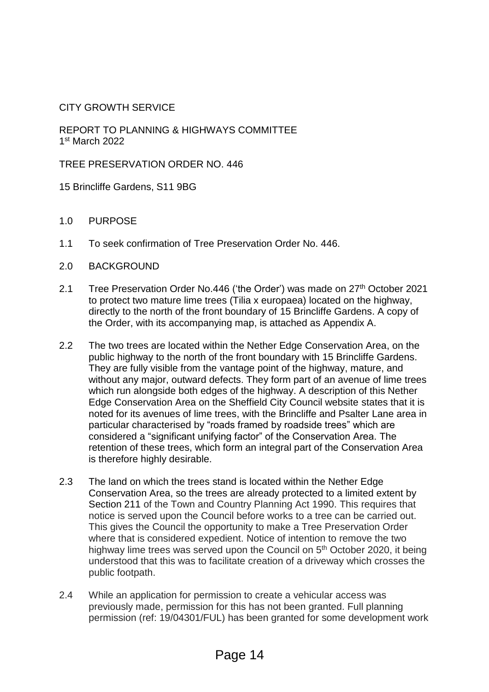## CITY GROWTH SERVICE

REPORT TO PLANNING & HIGHWAYS COMMITTEE 1 st March 2022

TREE PRESERVATION ORDER NO. 446

15 Brincliffe Gardens, S11 9BG

- 1.0 PURPOSE
- 1.1 To seek confirmation of Tree Preservation Order No. 446.
- 2.0 BACKGROUND
- 2.1 Tree Preservation Order No.446 ('the Order') was made on 27<sup>th</sup> October 2021 to protect two mature lime trees (Tilia x europaea) located on the highway, directly to the north of the front boundary of 15 Brincliffe Gardens. A copy of the Order, with its accompanying map, is attached as Appendix A.
- 2.2 The two trees are located within the Nether Edge Conservation Area, on the public highway to the north of the front boundary with 15 Brincliffe Gardens. They are fully visible from the vantage point of the highway, mature, and without any major, outward defects. They form part of an avenue of lime trees which run alongside both edges of the highway. A description of this Nether Edge Conservation Area on the Sheffield City Council website states that it is noted for its avenues of lime trees, with the Brincliffe and Psalter Lane area in particular characterised by "roads framed by roadside trees" which are considered a "significant unifying factor" of the Conservation Area. The retention of these trees, which form an integral part of the Conservation Area is therefore highly desirable.
- 2.3 The land on which the trees stand is located within the Nether Edge Conservation Area, so the trees are already protected to a limited extent by Section 211 of the Town and Country Planning Act 1990. This requires that notice is served upon the Council before works to a tree can be carried out. This gives the Council the opportunity to make a Tree Preservation Order where that is considered expedient. Notice of intention to remove the two highway lime trees was served upon the Council on 5<sup>th</sup> October 2020, it being understood that this was to facilitate creation of a driveway which crosses the public footpath.
- 2.4 While an application for permission to create a vehicular access was previously made, permission for this has not been granted. Full planning permission (ref: 19/04301/FUL) has been granted for some development work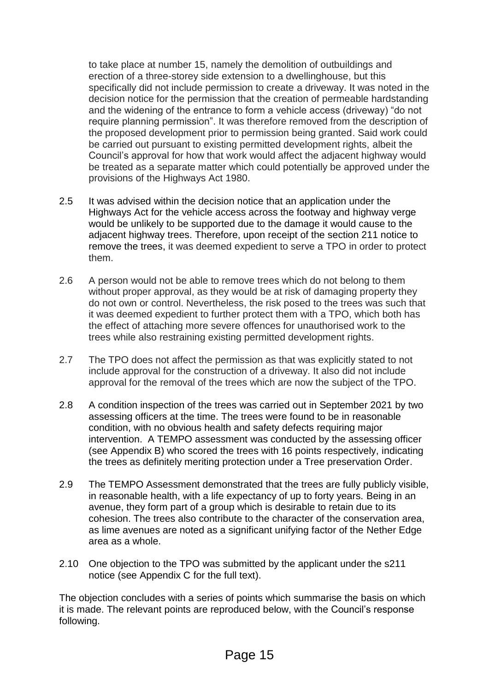to take place at number 15, namely the demolition of outbuildings and erection of a three-storey side extension to a dwellinghouse, but this specifically did not include permission to create a driveway. It was noted in the decision notice for the permission that the creation of permeable hardstanding and the widening of the entrance to form a vehicle access (driveway) "do not require planning permission". It was therefore removed from the description of the proposed development prior to permission being granted. Said work could be carried out pursuant to existing permitted development rights, albeit the Council's approval for how that work would affect the adjacent highway would be treated as a separate matter which could potentially be approved under the provisions of the Highways Act 1980.

- 2.5 It was advised within the decision notice that an application under the Highways Act for the vehicle access across the footway and highway verge would be unlikely to be supported due to the damage it would cause to the adjacent highway trees. Therefore, upon receipt of the section 211 notice to remove the trees, it was deemed expedient to serve a TPO in order to protect them.
- 2.6 A person would not be able to remove trees which do not belong to them without proper approval, as they would be at risk of damaging property they do not own or control. Nevertheless, the risk posed to the trees was such that it was deemed expedient to further protect them with a TPO, which both has the effect of attaching more severe offences for unauthorised work to the trees while also restraining existing permitted development rights.
- 2.7 The TPO does not affect the permission as that was explicitly stated to not include approval for the construction of a driveway. It also did not include approval for the removal of the trees which are now the subject of the TPO.
- 2.8 A condition inspection of the trees was carried out in September 2021 by two assessing officers at the time. The trees were found to be in reasonable condition, with no obvious health and safety defects requiring major intervention. A TEMPO assessment was conducted by the assessing officer (see Appendix B) who scored the trees with 16 points respectively, indicating the trees as definitely meriting protection under a Tree preservation Order.
- 2.9 The TEMPO Assessment demonstrated that the trees are fully publicly visible, in reasonable health, with a life expectancy of up to forty years. Being in an avenue, they form part of a group which is desirable to retain due to its cohesion. The trees also contribute to the character of the conservation area, as lime avenues are noted as a significant unifying factor of the Nether Edge area as a whole.
- 2.10 One objection to the TPO was submitted by the applicant under the s211 notice (see Appendix C for the full text).

The objection concludes with a series of points which summarise the basis on which it is made. The relevant points are reproduced below, with the Council's response following.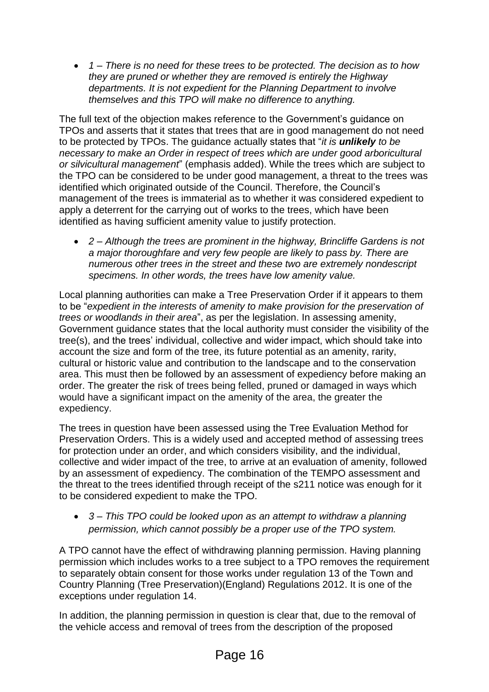*1 – There is no need for these trees to be protected. The decision as to how they are pruned or whether they are removed is entirely the Highway departments. It is not expedient for the Planning Department to involve themselves and this TPO will make no difference to anything.*

The full text of the objection makes reference to the Government's guidance on TPOs and asserts that it states that trees that are in good management do not need to be protected by TPOs. The guidance actually states that "*it is unlikely to be necessary to make an Order in respect of trees which are under good arboricultural or silvicultural management*" (emphasis added). While the trees which are subject to the TPO can be considered to be under good management, a threat to the trees was identified which originated outside of the Council. Therefore, the Council's management of the trees is immaterial as to whether it was considered expedient to apply a deterrent for the carrying out of works to the trees, which have been identified as having sufficient amenity value to justify protection.

 *2 – Although the trees are prominent in the highway, Brincliffe Gardens is not a major thoroughfare and very few people are likely to pass by. There are numerous other trees in the street and these two are extremely nondescript specimens. In other words, the trees have low amenity value.*

Local planning authorities can make a [Tree Preservation Order](http://www.legislation.gov.uk/uksi/2012/605/regulation/3/made) if it appears to them to be "*[expedient in the interests of amenity to make provision for the preservation of](http://www.legislation.gov.uk/ukpga/1990/8/section/198)  [trees or woodlands in their area](http://www.legislation.gov.uk/ukpga/1990/8/section/198)*", as per the legislation. In assessing amenity, Government guidance states that the local authority must consider the visibility of the tree(s), and the trees' individual, collective and wider impact, which should take into account the size and form of the tree, its future potential as an amenity, rarity, cultural or historic value and contribution to the landscape and to the conservation area. This must then be followed by an assessment of expediency before making an order. The greater the risk of trees being felled, pruned or damaged in ways which would have a significant impact on the amenity of the area, the greater the expediency.

The trees in question have been assessed using the Tree Evaluation Method for Preservation Orders. This is a widely used and accepted method of assessing trees for protection under an order, and which considers visibility, and the individual, collective and wider impact of the tree, to arrive at an evaluation of amenity, followed by an assessment of expediency. The combination of the TEMPO assessment and the threat to the trees identified through receipt of the s211 notice was enough for it to be considered expedient to make the TPO.

 *3 – This TPO could be looked upon as an attempt to withdraw a planning permission, which cannot possibly be a proper use of the TPO system.*

A TPO cannot have the effect of withdrawing planning permission. Having planning permission which includes works to a tree subject to a TPO removes the requirement to separately obtain consent for those works under regulation 13 of the Town and Country Planning (Tree Preservation)(England) Regulations 2012. It is one of the exceptions under regulation 14.

In addition, the planning permission in question is clear that, due to the removal of the vehicle access and removal of trees from the description of the proposed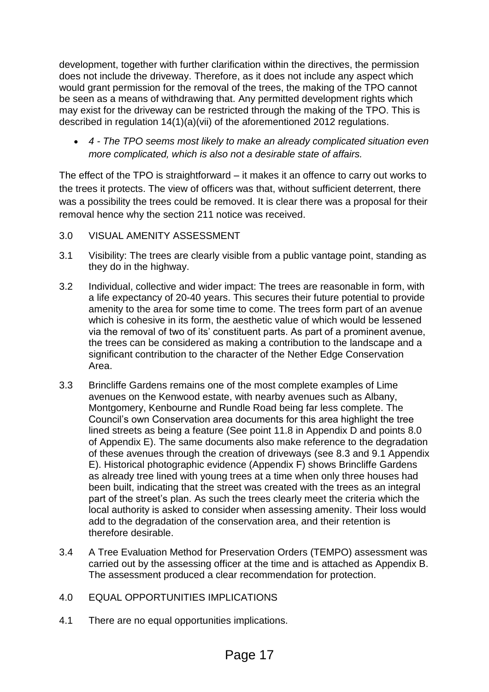development, together with further clarification within the directives, the permission does not include the driveway. Therefore, as it does not include any aspect which would grant permission for the removal of the trees, the making of the TPO cannot be seen as a means of withdrawing that. Any permitted development rights which may exist for the driveway can be restricted through the making of the TPO. This is described in regulation 14(1)(a)(vii) of the aforementioned 2012 regulations.

 *4 - The TPO seems most likely to make an already complicated situation even more complicated, which is also not a desirable state of affairs.*

The effect of the TPO is straightforward – it makes it an offence to carry out works to the trees it protects. The view of officers was that, without sufficient deterrent, there was a possibility the trees could be removed. It is clear there was a proposal for their removal hence why the section 211 notice was received.

- 3.0 VISUAL AMENITY ASSESSMENT
- 3.1 Visibility: The trees are clearly visible from a public vantage point, standing as they do in the highway.
- 3.2 Individual, collective and wider impact: The trees are reasonable in form, with a life expectancy of 20-40 years. This secures their future potential to provide amenity to the area for some time to come. The trees form part of an avenue which is cohesive in its form, the aesthetic value of which would be lessened via the removal of two of its' constituent parts. As part of a prominent avenue, the trees can be considered as making a contribution to the landscape and a significant contribution to the character of the Nether Edge Conservation Area.
- 3.3 Brincliffe Gardens remains one of the most complete examples of Lime avenues on the Kenwood estate, with nearby avenues such as Albany, Montgomery, Kenbourne and Rundle Road being far less complete. The Council's own Conservation area documents for this area highlight the tree lined streets as being a feature (See point 11.8 in Appendix D and points 8.0 of Appendix E). The same documents also make reference to the degradation of these avenues through the creation of driveways (see 8.3 and 9.1 Appendix E). Historical photographic evidence (Appendix F) shows Brincliffe Gardens as already tree lined with young trees at a time when only three houses had been built, indicating that the street was created with the trees as an integral part of the street's plan. As such the trees clearly meet the criteria which the local authority is asked to consider when assessing amenity. Their loss would add to the degradation of the conservation area, and their retention is therefore desirable.
- 3.4 A Tree Evaluation Method for Preservation Orders (TEMPO) assessment was carried out by the assessing officer at the time and is attached as Appendix B. The assessment produced a clear recommendation for protection.
- 4.0 EQUAL OPPORTUNITIES IMPLICATIONS
- 4.1 There are no equal opportunities implications.